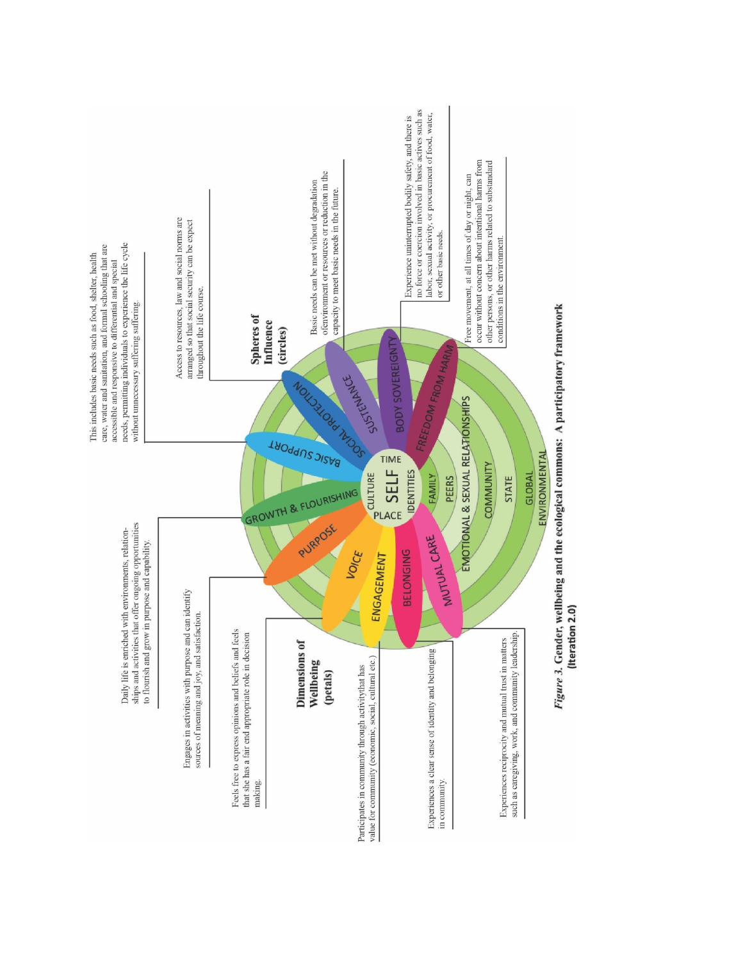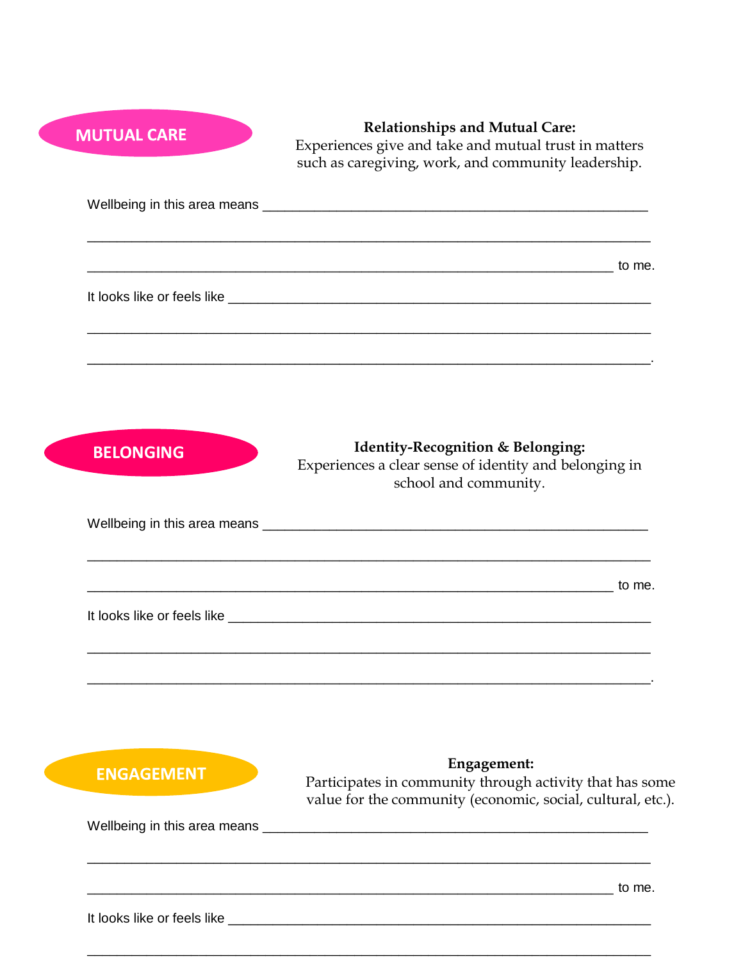| <b>MUTUAL CARE</b> | <b>Relationships and Mutual Care:</b><br>Experiences give and take and mutual trust in matters<br>such as caregiving, work, and community leadership. |
|--------------------|-------------------------------------------------------------------------------------------------------------------------------------------------------|
|                    |                                                                                                                                                       |
|                    |                                                                                                                                                       |
|                    |                                                                                                                                                       |
| <b>BELONGING</b>   | <b>Identity-Recognition &amp; Belonging:</b><br>Experiences a clear sense of identity and belonging in                                                |
|                    | school and community.                                                                                                                                 |
|                    |                                                                                                                                                       |
| <b>ENGAGEMENT</b>  | Engagement:                                                                                                                                           |
|                    | Participates in community through activity that has some<br>value for the community (economic, social, cultural, etc.).                               |
|                    |                                                                                                                                                       |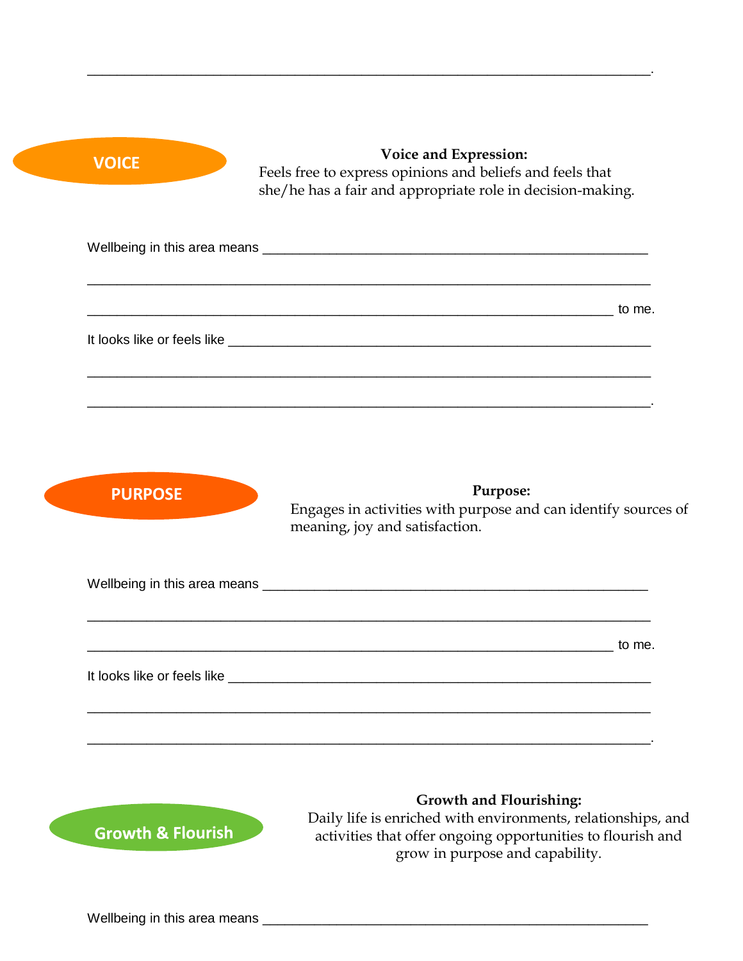**VOICE VOICE Expression:** Feels free to express opinions and beliefs and feels that she/he has a fair and appropriate role in decision-making.

| to me. |  |
|--------|--|
|        |  |
|        |  |
|        |  |
|        |  |

\_\_\_\_\_\_\_\_\_\_\_\_\_\_\_\_\_\_\_\_\_\_\_\_\_\_\_\_\_\_\_\_\_\_\_\_\_\_\_\_\_\_\_\_\_\_\_\_\_\_\_\_\_\_\_\_\_\_\_\_\_\_\_\_\_\_\_\_\_\_\_\_\_\_\_\_.

**PURPOSE Purpose:**

Engages in activities with purpose and can identify sources of meaning, joy and satisfaction.

|                                                                                                                                                                                                                                | to me. |
|--------------------------------------------------------------------------------------------------------------------------------------------------------------------------------------------------------------------------------|--------|
| It looks like or feels like the state of the state of the state of the state of the state of the state of the state of the state of the state of the state of the state of the state of the state of the state of the state of |        |
|                                                                                                                                                                                                                                |        |

\_\_\_\_\_\_\_\_\_\_\_\_\_\_\_\_\_\_\_\_\_\_\_\_\_\_\_\_\_\_\_\_\_\_\_\_\_\_\_\_\_\_\_\_\_\_\_\_\_\_\_\_\_\_\_\_\_\_\_\_\_\_\_\_\_\_\_\_\_\_\_\_\_\_\_\_.



# **Growth and Flourishing:**

Daily life is enriched with environments, relationships, and activities that offer ongoing opportunities to flourish and grow in purpose and capability.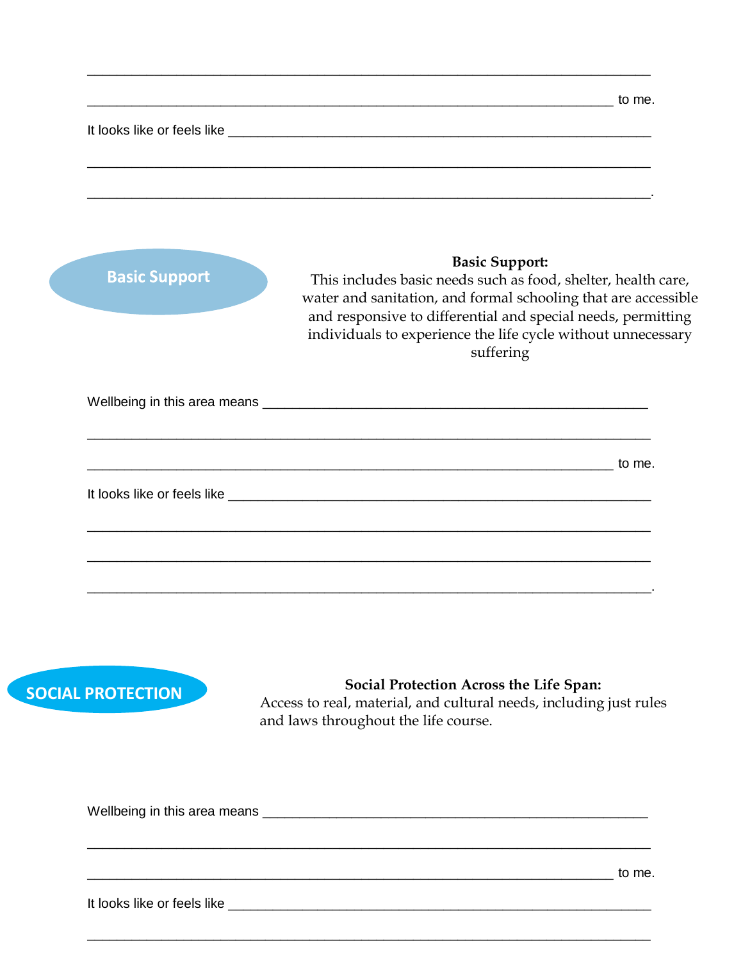|                      | <u> 1989 - Johann Stoff, amerikansk politiker (d. 1989)</u>                                                                                                                                                                                                                                           |
|----------------------|-------------------------------------------------------------------------------------------------------------------------------------------------------------------------------------------------------------------------------------------------------------------------------------------------------|
| <b>Basic Support</b> | <b>Basic Support:</b><br>This includes basic needs such as food, shelter, health care,<br>water and sanitation, and formal schooling that are accessible<br>and responsive to differential and special needs, permitting<br>individuals to experience the life cycle without unnecessary<br>suffering |
|                      |                                                                                                                                                                                                                                                                                                       |
|                      |                                                                                                                                                                                                                                                                                                       |
|                      |                                                                                                                                                                                                                                                                                                       |



Social Protection Across the Life Span:

Access to real, material, and cultural needs, including just rules and laws throughout the life course.

 $\frac{1}{2}$  to me.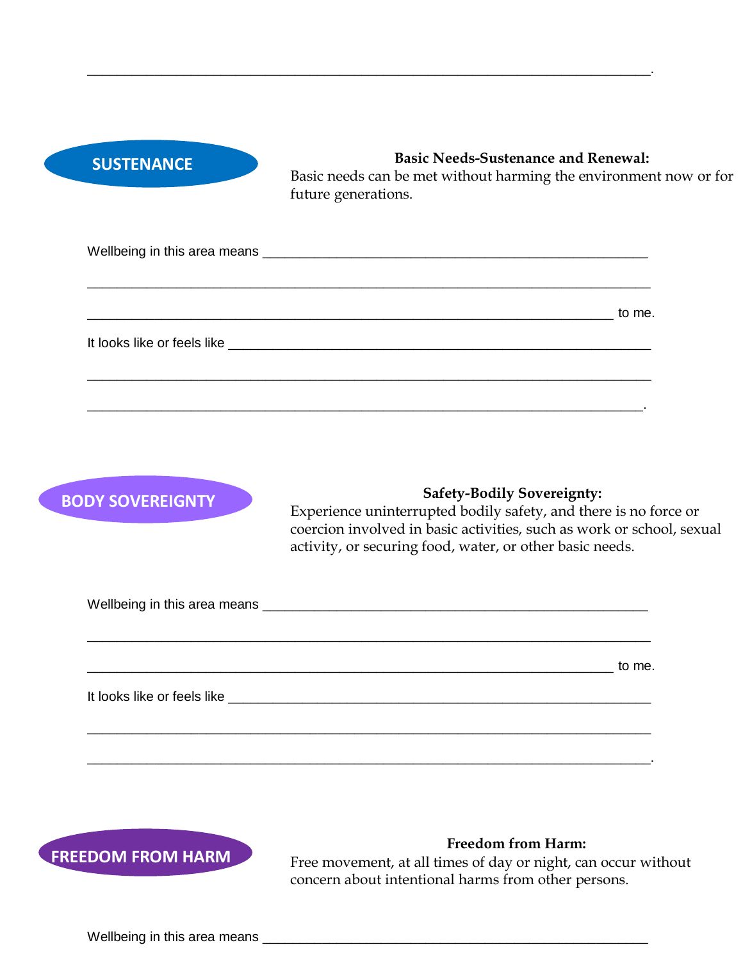## **SUSTENANCE**

## **Basic Needs-Sustenance and Renewal:**

Basic needs can be met without harming the environment now or for future generations.

| to me.<br><u> 1990 - Johann Barbara, martin amerikan personal (</u> |
|---------------------------------------------------------------------|
|                                                                     |
|                                                                     |
|                                                                     |
|                                                                     |

\_\_\_\_\_\_\_\_\_\_\_\_\_\_\_\_\_\_\_\_\_\_\_\_\_\_\_\_\_\_\_\_\_\_\_\_\_\_\_\_\_\_\_\_\_\_\_\_\_\_\_\_\_\_\_\_\_\_\_\_\_\_\_\_\_\_\_\_\_\_\_\_\_\_\_\_.

**BODY SOVEREIGNTY**<br>
Experience uninterrupted bodily safety, and there is no force or coercion involved in basic activities, such as work or school, sexual activity, or securing food, water, or other basic needs.

Wellbeing in this area means \_\_\_\_\_\_\_\_\_\_\_\_\_\_\_\_\_\_\_\_\_\_\_\_\_\_\_\_\_\_\_\_\_\_\_\_\_\_\_\_\_\_\_\_\_\_\_\_\_\_\_\_

 $\blacksquare$ 

\_\_\_\_\_\_\_\_\_\_\_\_\_\_\_\_\_\_\_\_\_\_\_\_\_\_\_\_\_\_\_\_\_\_\_\_\_\_\_\_\_\_\_\_\_\_\_\_\_\_\_\_\_\_\_\_\_\_\_\_\_\_\_\_\_\_\_\_\_\_\_\_\_\_\_\_

\_\_\_\_\_\_\_\_\_\_\_\_\_\_\_\_\_\_\_\_\_\_\_\_\_\_\_\_\_\_\_\_\_\_\_\_\_\_\_\_\_\_\_\_\_\_\_\_\_\_\_\_\_\_\_\_\_\_\_\_\_\_\_\_\_\_\_\_\_\_\_\_\_\_\_\_.

\_\_\_\_\_\_\_\_\_\_\_\_\_\_\_\_\_\_\_\_\_\_\_\_\_\_\_\_\_\_\_\_\_\_\_\_\_\_\_\_\_\_\_\_\_\_\_\_\_\_\_\_\_\_\_\_\_\_\_\_\_\_\_\_\_\_\_\_\_\_\_\_\_\_\_\_

It looks like or feels like  $\overline{\phantom{a}}$ 



## **Freedom from Harm:**

Free movement, at all times of day or night, can occur without concern about intentional harms from other persons.